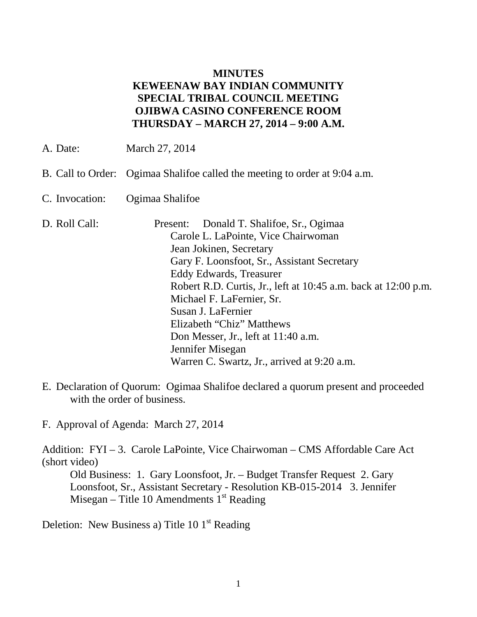## **MINUTES KEWEENAW BAY INDIAN COMMUNITY SPECIAL TRIBAL COUNCIL MEETING OJIBWA CASINO CONFERENCE ROOM THURSDAY – MARCH 27, 2014 – 9:00 A.M.**

- A. Date: March 27, 2014
- B. Call to Order: Ogimaa Shalifoe called the meeting to order at 9:04 a.m.
- C. Invocation: Ogimaa Shalifoe
- D. Roll Call: Present: Donald T. Shalifoe, Sr., Ogimaa Carole L. LaPointe, Vice Chairwoman Jean Jokinen, Secretary Gary F. Loonsfoot, Sr., Assistant Secretary Eddy Edwards, Treasurer Robert R.D. Curtis, Jr., left at 10:45 a.m. back at 12:00 p.m. Michael F. LaFernier, Sr. Susan J. LaFernier Elizabeth "Chiz" Matthews Don Messer, Jr., left at 11:40 a.m. Jennifer Misegan Warren C. Swartz, Jr., arrived at 9:20 a.m.
- E. Declaration of Quorum: Ogimaa Shalifoe declared a quorum present and proceeded with the order of business.

F. Approval of Agenda: March 27, 2014

Addition: FYI – 3. Carole LaPointe, Vice Chairwoman – CMS Affordable Care Act (short video)

Old Business: 1. Gary Loonsfoot, Jr. – Budget Transfer Request 2. Gary Loonsfoot, Sr., Assistant Secretary - Resolution KB-015-2014 3. Jennifer Misegan – Title 10 Amendments  $1<sup>st</sup>$  Reading

Deletion: New Business a) Title 10  $1<sup>st</sup>$  Reading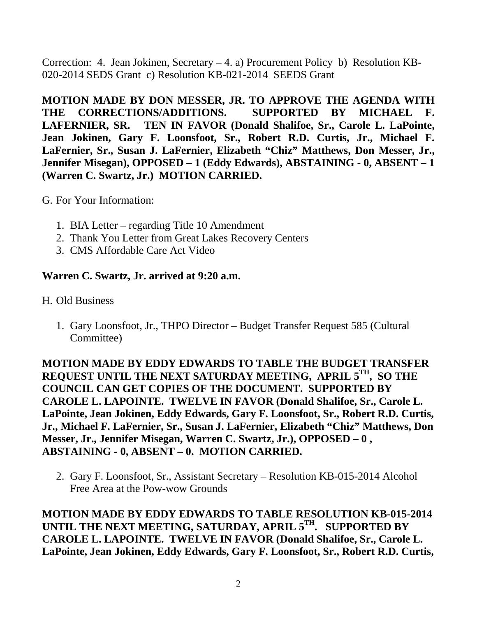Correction: 4. Jean Jokinen, Secretary – 4. a) Procurement Policy b) Resolution KB-020-2014 SEDS Grant c) Resolution KB-021-2014 SEEDS Grant

**MOTION MADE BY DON MESSER, JR. TO APPROVE THE AGENDA WITH**  THE CORRECTIONS/ADDITIONS. SUPPORTED BY MICHAEL **LAFERNIER, SR. TEN IN FAVOR (Donald Shalifoe, Sr., Carole L. LaPointe, Jean Jokinen, Gary F. Loonsfoot, Sr., Robert R.D. Curtis, Jr., Michael F. LaFernier, Sr., Susan J. LaFernier, Elizabeth "Chiz" Matthews, Don Messer, Jr., Jennifer Misegan), OPPOSED – 1 (Eddy Edwards), ABSTAINING - 0, ABSENT – 1 (Warren C. Swartz, Jr.) MOTION CARRIED.**

- G. For Your Information:
	- 1. BIA Letter regarding Title 10 Amendment
	- 2. Thank You Letter from Great Lakes Recovery Centers
	- 3. CMS Affordable Care Act Video

## **Warren C. Swartz, Jr. arrived at 9:20 a.m.**

- H. Old Business
	- 1. Gary Loonsfoot, Jr., THPO Director Budget Transfer Request 585 (Cultural Committee)

**MOTION MADE BY EDDY EDWARDS TO TABLE THE BUDGET TRANSFER REQUEST UNTIL THE NEXT SATURDAY MEETING, APRIL 5TH, SO THE COUNCIL CAN GET COPIES OF THE DOCUMENT. SUPPORTED BY CAROLE L. LAPOINTE. TWELVE IN FAVOR (Donald Shalifoe, Sr., Carole L. LaPointe, Jean Jokinen, Eddy Edwards, Gary F. Loonsfoot, Sr., Robert R.D. Curtis, Jr., Michael F. LaFernier, Sr., Susan J. LaFernier, Elizabeth "Chiz" Matthews, Don Messer, Jr., Jennifer Misegan, Warren C. Swartz, Jr.), OPPOSED – 0 , ABSTAINING - 0, ABSENT – 0. MOTION CARRIED.**

2. Gary F. Loonsfoot, Sr., Assistant Secretary – Resolution KB-015-2014 Alcohol Free Area at the Pow-wow Grounds

**MOTION MADE BY EDDY EDWARDS TO TABLE RESOLUTION KB-015-2014 UNTIL THE NEXT MEETING, SATURDAY, APRIL 5TH. SUPPORTED BY CAROLE L. LAPOINTE. TWELVE IN FAVOR (Donald Shalifoe, Sr., Carole L. LaPointe, Jean Jokinen, Eddy Edwards, Gary F. Loonsfoot, Sr., Robert R.D. Curtis,**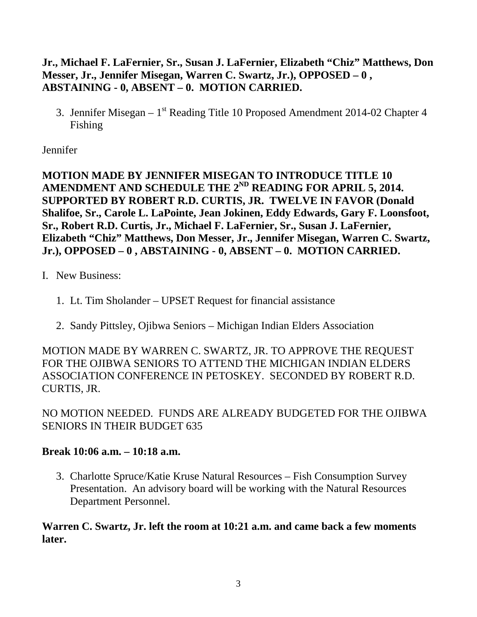# **Jr., Michael F. LaFernier, Sr., Susan J. LaFernier, Elizabeth "Chiz" Matthews, Don Messer, Jr., Jennifer Misegan, Warren C. Swartz, Jr.), OPPOSED – 0 , ABSTAINING - 0, ABSENT – 0. MOTION CARRIED.**

3. Jennifer Misegan –  $1<sup>st</sup>$  Reading Title 10 Proposed Amendment 2014-02 Chapter 4 Fishing

Jennifer

**MOTION MADE BY JENNIFER MISEGAN TO INTRODUCE TITLE 10** AMENDMENT AND SCHEDULE THE 2<sup>ND</sup> READING FOR APRIL 5, 2014. **SUPPORTED BY ROBERT R.D. CURTIS, JR. TWELVE IN FAVOR (Donald Shalifoe, Sr., Carole L. LaPointe, Jean Jokinen, Eddy Edwards, Gary F. Loonsfoot, Sr., Robert R.D. Curtis, Jr., Michael F. LaFernier, Sr., Susan J. LaFernier, Elizabeth "Chiz" Matthews, Don Messer, Jr., Jennifer Misegan, Warren C. Swartz, Jr.), OPPOSED – 0 , ABSTAINING - 0, ABSENT – 0. MOTION CARRIED.**

- I. New Business:
	- 1. Lt. Tim Sholander UPSET Request for financial assistance
	- 2. Sandy Pittsley, Ojibwa Seniors Michigan Indian Elders Association

MOTION MADE BY WARREN C. SWARTZ, JR. TO APPROVE THE REQUEST FOR THE OJIBWA SENIORS TO ATTEND THE MICHIGAN INDIAN ELDERS ASSOCIATION CONFERENCE IN PETOSKEY. SECONDED BY ROBERT R.D. CURTIS, JR.

NO MOTION NEEDED. FUNDS ARE ALREADY BUDGETED FOR THE OJIBWA SENIORS IN THEIR BUDGET 635

# **Break 10:06 a.m. – 10:18 a.m.**

3. Charlotte Spruce/Katie Kruse Natural Resources – Fish Consumption Survey Presentation. An advisory board will be working with the Natural Resources Department Personnel.

**Warren C. Swartz, Jr. left the room at 10:21 a.m. and came back a few moments later.**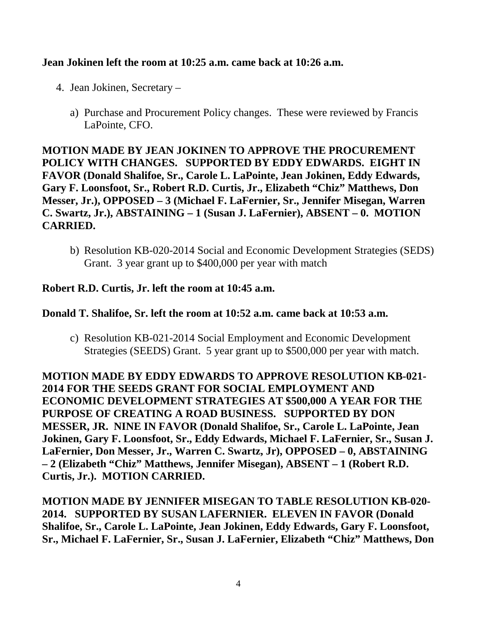#### **Jean Jokinen left the room at 10:25 a.m. came back at 10:26 a.m.**

- 4. Jean Jokinen, Secretary
	- a) Purchase and Procurement Policy changes. These were reviewed by Francis LaPointe, CFO.

**MOTION MADE BY JEAN JOKINEN TO APPROVE THE PROCUREMENT POLICY WITH CHANGES. SUPPORTED BY EDDY EDWARDS. EIGHT IN FAVOR (Donald Shalifoe, Sr., Carole L. LaPointe, Jean Jokinen, Eddy Edwards, Gary F. Loonsfoot, Sr., Robert R.D. Curtis, Jr., Elizabeth "Chiz" Matthews, Don Messer, Jr.), OPPOSED – 3 (Michael F. LaFernier, Sr., Jennifer Misegan, Warren C. Swartz, Jr.), ABSTAINING – 1 (Susan J. LaFernier), ABSENT – 0. MOTION CARRIED.**

b) Resolution KB-020-2014 Social and Economic Development Strategies (SEDS) Grant. 3 year grant up to \$400,000 per year with match

#### **Robert R.D. Curtis, Jr. left the room at 10:45 a.m.**

#### **Donald T. Shalifoe, Sr. left the room at 10:52 a.m. came back at 10:53 a.m.**

c) Resolution KB-021-2014 Social Employment and Economic Development Strategies (SEEDS) Grant. 5 year grant up to \$500,000 per year with match.

**MOTION MADE BY EDDY EDWARDS TO APPROVE RESOLUTION KB-021- 2014 FOR THE SEEDS GRANT FOR SOCIAL EMPLOYMENT AND ECONOMIC DEVELOPMENT STRATEGIES AT \$500,000 A YEAR FOR THE PURPOSE OF CREATING A ROAD BUSINESS. SUPPORTED BY DON MESSER, JR. NINE IN FAVOR (Donald Shalifoe, Sr., Carole L. LaPointe, Jean Jokinen, Gary F. Loonsfoot, Sr., Eddy Edwards, Michael F. LaFernier, Sr., Susan J. LaFernier, Don Messer, Jr., Warren C. Swartz, Jr), OPPOSED – 0, ABSTAINING – 2 (Elizabeth "Chiz" Matthews, Jennifer Misegan), ABSENT – 1 (Robert R.D. Curtis, Jr.). MOTION CARRIED.**

**MOTION MADE BY JENNIFER MISEGAN TO TABLE RESOLUTION KB-020- 2014. SUPPORTED BY SUSAN LAFERNIER. ELEVEN IN FAVOR (Donald Shalifoe, Sr., Carole L. LaPointe, Jean Jokinen, Eddy Edwards, Gary F. Loonsfoot, Sr., Michael F. LaFernier, Sr., Susan J. LaFernier, Elizabeth "Chiz" Matthews, Don**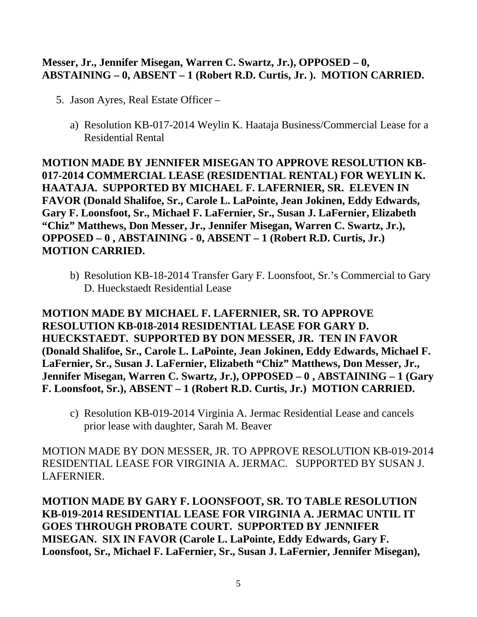## **Messer, Jr., Jennifer Misegan, Warren C. Swartz, Jr.), OPPOSED – 0, ABSTAINING – 0, ABSENT – 1 (Robert R.D. Curtis, Jr. ). MOTION CARRIED.**

- 5. Jason Ayres, Real Estate Officer
	- a) Resolution KB-017-2014 Weylin K. Haataja Business/Commercial Lease for a Residential Rental

**MOTION MADE BY JENNIFER MISEGAN TO APPROVE RESOLUTION KB-017-2014 COMMERCIAL LEASE (RESIDENTIAL RENTAL) FOR WEYLIN K. HAATAJA. SUPPORTED BY MICHAEL F. LAFERNIER, SR. ELEVEN IN FAVOR (Donald Shalifoe, Sr., Carole L. LaPointe, Jean Jokinen, Eddy Edwards, Gary F. Loonsfoot, Sr., Michael F. LaFernier, Sr., Susan J. LaFernier, Elizabeth "Chiz" Matthews, Don Messer, Jr., Jennifer Misegan, Warren C. Swartz, Jr.), OPPOSED – 0 , ABSTAINING - 0, ABSENT – 1 (Robert R.D. Curtis, Jr.) MOTION CARRIED.**

b) Resolution KB-18-2014 Transfer Gary F. Loonsfoot, Sr.'s Commercial to Gary D. Hueckstaedt Residential Lease

**MOTION MADE BY MICHAEL F. LAFERNIER, SR. TO APPROVE RESOLUTION KB-018-2014 RESIDENTIAL LEASE FOR GARY D. HUECKSTAEDT. SUPPORTED BY DON MESSER, JR. TEN IN FAVOR (Donald Shalifoe, Sr., Carole L. LaPointe, Jean Jokinen, Eddy Edwards, Michael F. LaFernier, Sr., Susan J. LaFernier, Elizabeth "Chiz" Matthews, Don Messer, Jr., Jennifer Misegan, Warren C. Swartz, Jr.), OPPOSED – 0 , ABSTAINING – 1 (Gary F. Loonsfoot, Sr.), ABSENT – 1 (Robert R.D. Curtis, Jr.) MOTION CARRIED.**

c) Resolution KB-019-2014 Virginia A. Jermac Residential Lease and cancels prior lease with daughter, Sarah M. Beaver

MOTION MADE BY DON MESSER, JR. TO APPROVE RESOLUTION KB-019-2014 RESIDENTIAL LEASE FOR VIRGINIA A. JERMAC. SUPPORTED BY SUSAN J. LAFERNIER.

**MOTION MADE BY GARY F. LOONSFOOT, SR. TO TABLE RESOLUTION KB-019-2014 RESIDENTIAL LEASE FOR VIRGINIA A. JERMAC UNTIL IT GOES THROUGH PROBATE COURT. SUPPORTED BY JENNIFER MISEGAN. SIX IN FAVOR (Carole L. LaPointe, Eddy Edwards, Gary F. Loonsfoot, Sr., Michael F. LaFernier, Sr., Susan J. LaFernier, Jennifer Misegan),**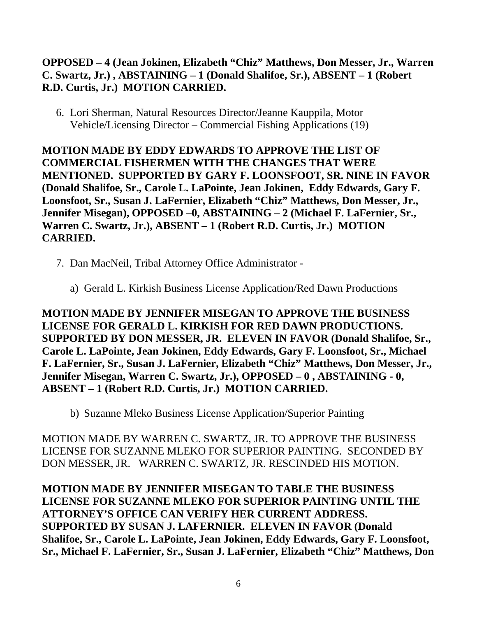# **OPPOSED – 4 (Jean Jokinen, Elizabeth "Chiz" Matthews, Don Messer, Jr., Warren C. Swartz, Jr.) , ABSTAINING – 1 (Donald Shalifoe, Sr.), ABSENT – 1 (Robert R.D. Curtis, Jr.) MOTION CARRIED.**

6. Lori Sherman, Natural Resources Director/Jeanne Kauppila, Motor Vehicle/Licensing Director – Commercial Fishing Applications (19)

**MOTION MADE BY EDDY EDWARDS TO APPROVE THE LIST OF COMMERCIAL FISHERMEN WITH THE CHANGES THAT WERE MENTIONED. SUPPORTED BY GARY F. LOONSFOOT, SR. NINE IN FAVOR (Donald Shalifoe, Sr., Carole L. LaPointe, Jean Jokinen, Eddy Edwards, Gary F. Loonsfoot, Sr., Susan J. LaFernier, Elizabeth "Chiz" Matthews, Don Messer, Jr., Jennifer Misegan), OPPOSED –0, ABSTAINING – 2 (Michael F. LaFernier, Sr., Warren C. Swartz, Jr.), ABSENT – 1 (Robert R.D. Curtis, Jr.) MOTION CARRIED.**

- 7. Dan MacNeil, Tribal Attorney Office Administrator
	- a) Gerald L. Kirkish Business License Application/Red Dawn Productions

**MOTION MADE BY JENNIFER MISEGAN TO APPROVE THE BUSINESS LICENSE FOR GERALD L. KIRKISH FOR RED DAWN PRODUCTIONS. SUPPORTED BY DON MESSER, JR. ELEVEN IN FAVOR (Donald Shalifoe, Sr., Carole L. LaPointe, Jean Jokinen, Eddy Edwards, Gary F. Loonsfoot, Sr., Michael F. LaFernier, Sr., Susan J. LaFernier, Elizabeth "Chiz" Matthews, Don Messer, Jr., Jennifer Misegan, Warren C. Swartz, Jr.), OPPOSED – 0 , ABSTAINING - 0, ABSENT – 1 (Robert R.D. Curtis, Jr.) MOTION CARRIED.**

b) Suzanne Mleko Business License Application/Superior Painting

MOTION MADE BY WARREN C. SWARTZ, JR. TO APPROVE THE BUSINESS LICENSE FOR SUZANNE MLEKO FOR SUPERIOR PAINTING. SECONDED BY DON MESSER, JR. WARREN C. SWARTZ, JR. RESCINDED HIS MOTION.

**MOTION MADE BY JENNIFER MISEGAN TO TABLE THE BUSINESS LICENSE FOR SUZANNE MLEKO FOR SUPERIOR PAINTING UNTIL THE ATTORNEY'S OFFICE CAN VERIFY HER CURRENT ADDRESS. SUPPORTED BY SUSAN J. LAFERNIER. ELEVEN IN FAVOR (Donald Shalifoe, Sr., Carole L. LaPointe, Jean Jokinen, Eddy Edwards, Gary F. Loonsfoot, Sr., Michael F. LaFernier, Sr., Susan J. LaFernier, Elizabeth "Chiz" Matthews, Don**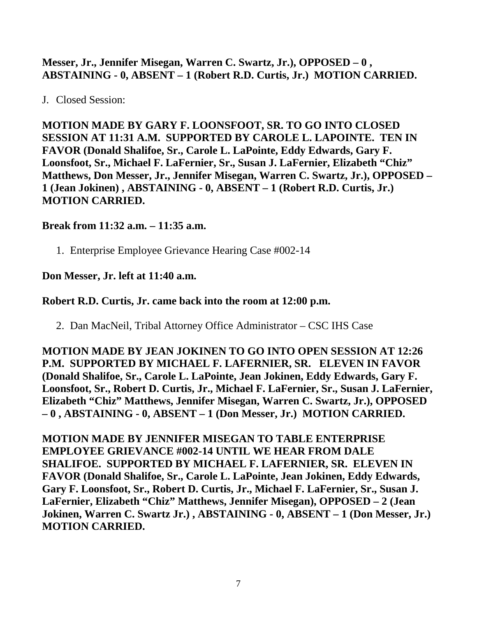## **Messer, Jr., Jennifer Misegan, Warren C. Swartz, Jr.), OPPOSED – 0 , ABSTAINING - 0, ABSENT – 1 (Robert R.D. Curtis, Jr.) MOTION CARRIED.**

# J. Closed Session:

**MOTION MADE BY GARY F. LOONSFOOT, SR. TO GO INTO CLOSED SESSION AT 11:31 A.M. SUPPORTED BY CAROLE L. LAPOINTE. TEN IN FAVOR (Donald Shalifoe, Sr., Carole L. LaPointe, Eddy Edwards, Gary F. Loonsfoot, Sr., Michael F. LaFernier, Sr., Susan J. LaFernier, Elizabeth "Chiz" Matthews, Don Messer, Jr., Jennifer Misegan, Warren C. Swartz, Jr.), OPPOSED – 1 (Jean Jokinen) , ABSTAINING - 0, ABSENT – 1 (Robert R.D. Curtis, Jr.) MOTION CARRIED.**

#### **Break from 11:32 a.m. – 11:35 a.m.**

1. Enterprise Employee Grievance Hearing Case #002-14

# **Don Messer, Jr. left at 11:40 a.m.**

## **Robert R.D. Curtis, Jr. came back into the room at 12:00 p.m.**

2. Dan MacNeil, Tribal Attorney Office Administrator – CSC IHS Case

**MOTION MADE BY JEAN JOKINEN TO GO INTO OPEN SESSION AT 12:26 P.M. SUPPORTED BY MICHAEL F. LAFERNIER, SR. ELEVEN IN FAVOR (Donald Shalifoe, Sr., Carole L. LaPointe, Jean Jokinen, Eddy Edwards, Gary F. Loonsfoot, Sr., Robert D. Curtis, Jr., Michael F. LaFernier, Sr., Susan J. LaFernier, Elizabeth "Chiz" Matthews, Jennifer Misegan, Warren C. Swartz, Jr.), OPPOSED – 0 , ABSTAINING - 0, ABSENT – 1 (Don Messer, Jr.) MOTION CARRIED.**

**MOTION MADE BY JENNIFER MISEGAN TO TABLE ENTERPRISE EMPLOYEE GRIEVANCE #002-14 UNTIL WE HEAR FROM DALE SHALIFOE. SUPPORTED BY MICHAEL F. LAFERNIER, SR. ELEVEN IN FAVOR (Donald Shalifoe, Sr., Carole L. LaPointe, Jean Jokinen, Eddy Edwards, Gary F. Loonsfoot, Sr., Robert D. Curtis, Jr., Michael F. LaFernier, Sr., Susan J. LaFernier, Elizabeth "Chiz" Matthews, Jennifer Misegan), OPPOSED – 2 (Jean Jokinen, Warren C. Swartz Jr.) , ABSTAINING - 0, ABSENT – 1 (Don Messer, Jr.) MOTION CARRIED.**